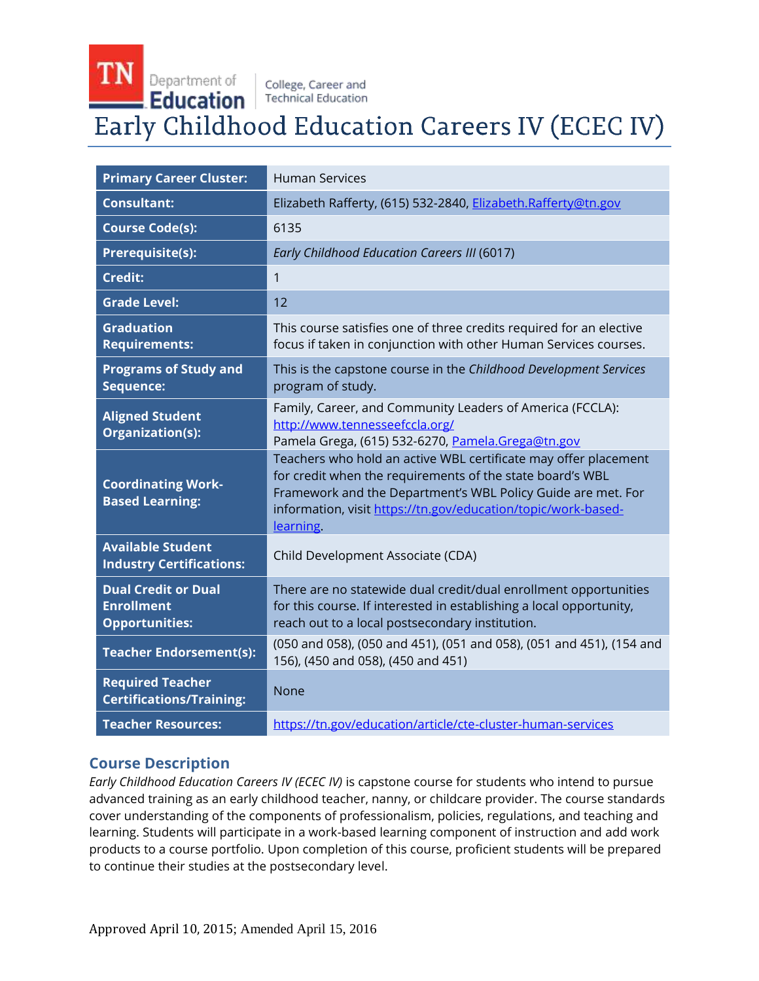**TN** 

Department of | college, Career and  $\blacksquare$  Education  $\vert$  Technical Education

# Early Childhood Education Careers IV (ECEC IV)

| <b>Primary Career Cluster:</b>                                           | <b>Human Services</b>                                                                                                                                                                                                                                                      |
|--------------------------------------------------------------------------|----------------------------------------------------------------------------------------------------------------------------------------------------------------------------------------------------------------------------------------------------------------------------|
| <b>Consultant:</b>                                                       | Elizabeth Rafferty, (615) 532-2840, Elizabeth.Rafferty@tn.gov                                                                                                                                                                                                              |
| <b>Course Code(s):</b>                                                   | 6135                                                                                                                                                                                                                                                                       |
| <b>Prerequisite(s):</b>                                                  | Early Childhood Education Careers III (6017)                                                                                                                                                                                                                               |
| <b>Credit:</b>                                                           | 1                                                                                                                                                                                                                                                                          |
| <b>Grade Level:</b>                                                      | 12                                                                                                                                                                                                                                                                         |
| <b>Graduation</b><br><b>Requirements:</b>                                | This course satisfies one of three credits required for an elective<br>focus if taken in conjunction with other Human Services courses.                                                                                                                                    |
| <b>Programs of Study and</b><br>Sequence:                                | This is the capstone course in the Childhood Development Services<br>program of study.                                                                                                                                                                                     |
| <b>Aligned Student</b><br>Organization(s):                               | Family, Career, and Community Leaders of America (FCCLA):<br>http://www.tennesseefccla.org/<br>Pamela Grega, (615) 532-6270, Pamela.Grega@tn.gov                                                                                                                           |
| <b>Coordinating Work-</b><br><b>Based Learning:</b>                      | Teachers who hold an active WBL certificate may offer placement<br>for credit when the requirements of the state board's WBL<br>Framework and the Department's WBL Policy Guide are met. For<br>information, visit https://tn.gov/education/topic/work-based-<br>learning. |
| <b>Available Student</b><br><b>Industry Certifications:</b>              | Child Development Associate (CDA)                                                                                                                                                                                                                                          |
| <b>Dual Credit or Dual</b><br><b>Enrollment</b><br><b>Opportunities:</b> | There are no statewide dual credit/dual enrollment opportunities<br>for this course. If interested in establishing a local opportunity,<br>reach out to a local postsecondary institution.                                                                                 |
| <b>Teacher Endorsement(s):</b>                                           | (050 and 058), (050 and 451), (051 and 058), (051 and 451), (154 and<br>156), (450 and 058), (450 and 451)                                                                                                                                                                 |
| <b>Required Teacher</b><br><b>Certifications/Training:</b>               | <b>None</b>                                                                                                                                                                                                                                                                |
| <b>Teacher Resources:</b>                                                | https://tn.gov/education/article/cte-cluster-human-services                                                                                                                                                                                                                |

# **Course Description**

*Early Childhood Education Careers IV (ECEC IV)* is capstone course for students who intend to pursue advanced training as an early childhood teacher, nanny, or childcare provider. The course standards cover understanding of the components of professionalism, policies, regulations, and teaching and learning. Students will participate in a work-based learning component of instruction and add work products to a course portfolio. Upon completion of this course, proficient students will be prepared to continue their studies at the postsecondary level.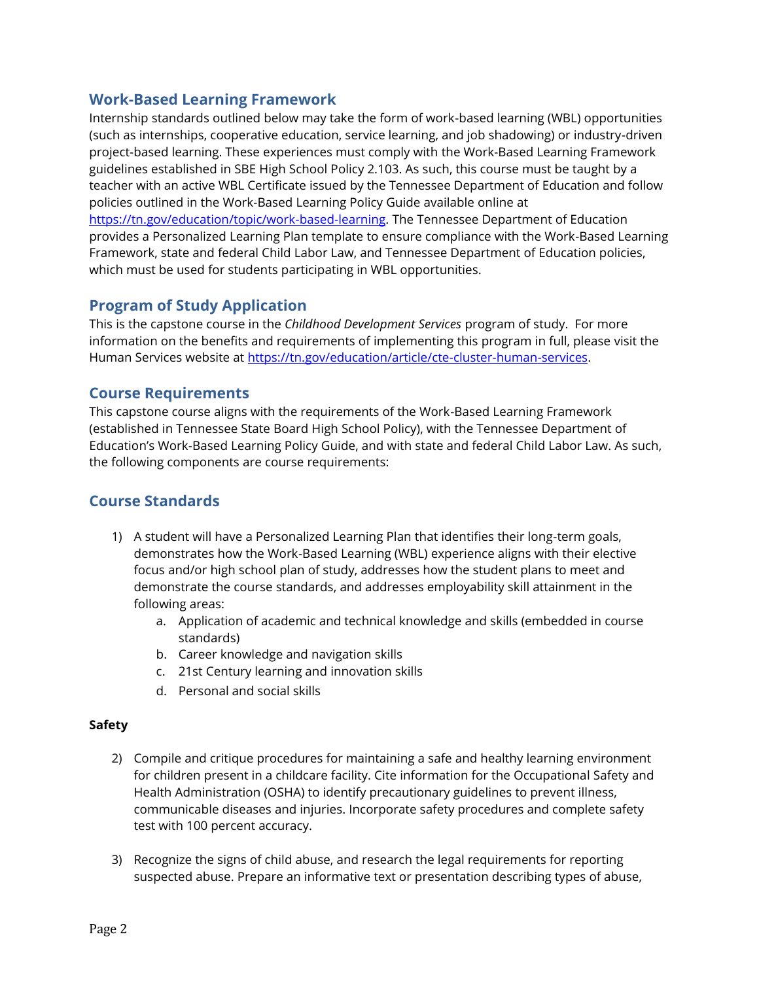## **Work-Based Learning Framework**

Internship standards outlined below may take the form of work-based learning (WBL) opportunities (such as internships, cooperative education, service learning, and job shadowing) or industry-driven project-based learning. These experiences must comply with the Work-Based Learning Framework guidelines established in SBE High School Policy 2.103. As such, this course must be taught by a teacher with an active WBL Certificate issued by the Tennessee Department of Education and follow policies outlined in the Work-Based Learning Policy Guide available online at [https://tn.gov/education/topic/work-based-learning.](https://tn.gov/education/topic/work-based-learning) The Tennessee Department of Education provides a Personalized Learning Plan template to ensure compliance with the Work-Based Learning Framework, state and federal Child Labor Law, and Tennessee Department of Education policies, which must be used for students participating in WBL opportunities.

## **Program of Study Application**

This is the capstone course in the *Childhood Development Services* program of study. For more information on the benefits and requirements of implementing this program in full, please visit the Human Services website at [https://tn.gov/education/article/cte-cluster-human-services.](https://tn.gov/education/article/cte-cluster-human-services)

### **Course Requirements**

This capstone course aligns with the requirements of the Work-Based Learning Framework (established in Tennessee State Board High School Policy), with the Tennessee Department of Education's Work-Based Learning Policy Guide, and with state and federal Child Labor Law. As such, the following components are course requirements:

## **Course Standards**

- 1) A student will have a Personalized Learning Plan that identifies their long-term goals, demonstrates how the Work-Based Learning (WBL) experience aligns with their elective focus and/or high school plan of study, addresses how the student plans to meet and demonstrate the course standards, and addresses employability skill attainment in the following areas:
	- a. Application of academic and technical knowledge and skills (embedded in course standards)
	- b. Career knowledge and navigation skills
	- c. 21st Century learning and innovation skills
	- d. Personal and social skills

#### **Safety**

- 2) Compile and critique procedures for maintaining a safe and healthy learning environment for children present in a childcare facility. Cite information for the Occupational Safety and Health Administration (OSHA) to identify precautionary guidelines to prevent illness, communicable diseases and injuries. Incorporate safety procedures and complete safety test with 100 percent accuracy.
- 3) Recognize the signs of child abuse, and research the legal requirements for reporting suspected abuse. Prepare an informative text or presentation describing types of abuse,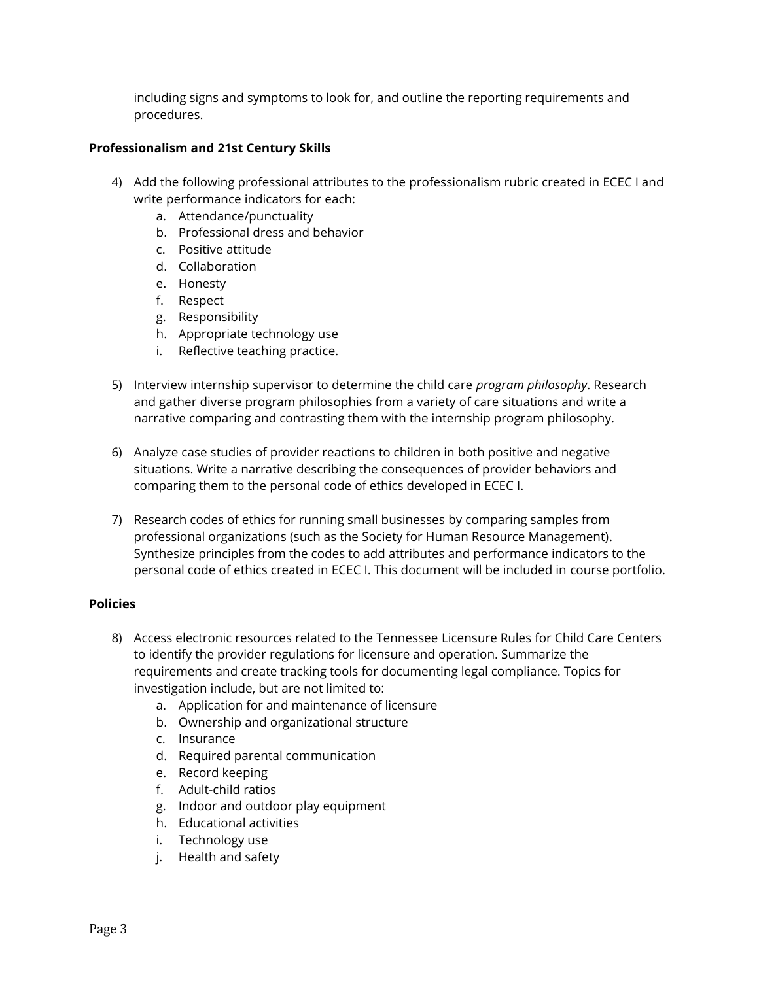including signs and symptoms to look for, and outline the reporting requirements and procedures.

#### **Professionalism and 21st Century Skills**

- 4) Add the following professional attributes to the professionalism rubric created in ECEC I and write performance indicators for each:
	- a. Attendance/punctuality
	- b. Professional dress and behavior
	- c. Positive attitude
	- d. Collaboration
	- e. Honesty
	- f. Respect
	- g. Responsibility
	- h. Appropriate technology use
	- i. Reflective teaching practice.
- 5) Interview internship supervisor to determine the child care *program philosophy*. Research and gather diverse program philosophies from a variety of care situations and write a narrative comparing and contrasting them with the internship program philosophy.
- 6) Analyze case studies of provider reactions to children in both positive and negative situations. Write a narrative describing the consequences of provider behaviors and comparing them to the personal code of ethics developed in ECEC I.
- 7) Research codes of ethics for running small businesses by comparing samples from professional organizations (such as the Society for Human Resource Management). Synthesize principles from the codes to add attributes and performance indicators to the personal code of ethics created in ECEC I. This document will be included in course portfolio.

#### **Policies**

- 8) Access electronic resources related to the Tennessee Licensure Rules for Child Care Centers to identify the provider regulations for licensure and operation. Summarize the requirements and create tracking tools for documenting legal compliance. Topics for investigation include, but are not limited to:
	- a. Application for and maintenance of licensure
	- b. Ownership and organizational structure
	- c. Insurance
	- d. Required parental communication
	- e. Record keeping
	- f. Adult-child ratios
	- g. Indoor and outdoor play equipment
	- h. Educational activities
	- i. Technology use
	- j. Health and safety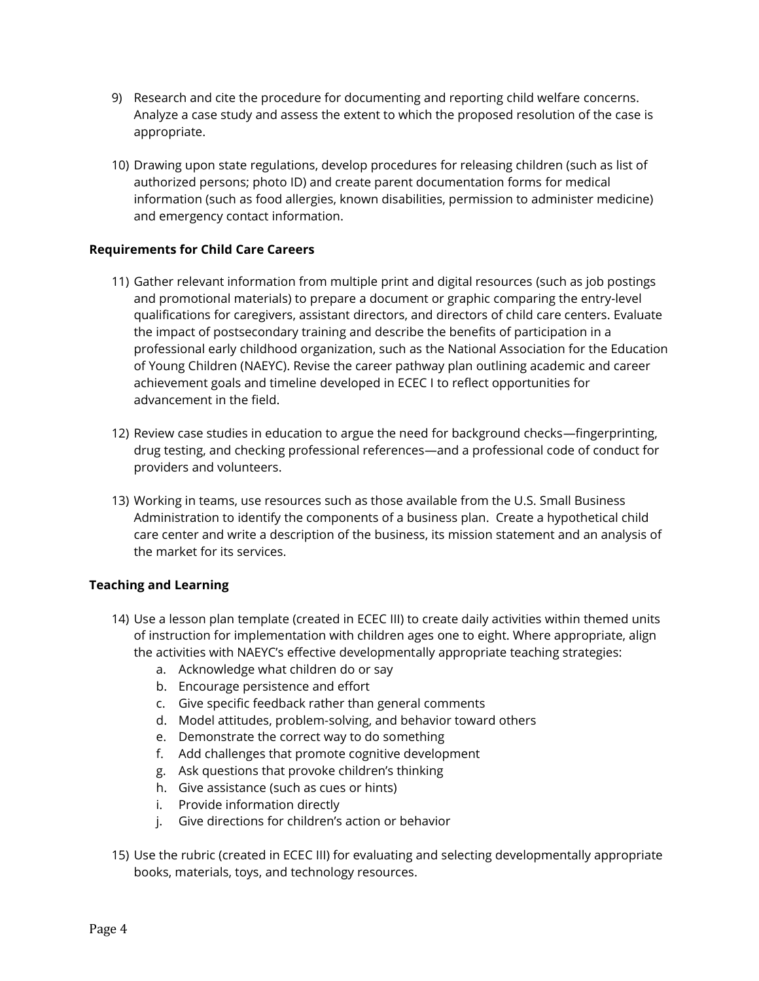- 9) Research and cite the procedure for documenting and reporting child welfare concerns. Analyze a case study and assess the extent to which the proposed resolution of the case is appropriate.
- 10) Drawing upon state regulations, develop procedures for releasing children (such as list of authorized persons; photo ID) and create parent documentation forms for medical information (such as food allergies, known disabilities, permission to administer medicine) and emergency contact information.

#### **Requirements for Child Care Careers**

- 11) Gather relevant information from multiple print and digital resources (such as job postings and promotional materials) to prepare a document or graphic comparing the entry-level qualifications for caregivers, assistant directors, and directors of child care centers. Evaluate the impact of postsecondary training and describe the benefits of participation in a professional early childhood organization, such as the National Association for the Education of Young Children (NAEYC). Revise the career pathway plan outlining academic and career achievement goals and timeline developed in ECEC I to reflect opportunities for advancement in the field.
- 12) Review case studies in education to argue the need for background checks—fingerprinting, drug testing, and checking professional references—and a professional code of conduct for providers and volunteers.
- 13) Working in teams, use resources such as those available from the U.S. Small Business Administration to identify the components of a business plan. Create a hypothetical child care center and write a description of the business, its mission statement and an analysis of the market for its services.

#### **Teaching and Learning**

- 14) Use a lesson plan template (created in ECEC III) to create daily activities within themed units of instruction for implementation with children ages one to eight. Where appropriate, align the activities with NAEYC's effective developmentally appropriate teaching strategies:
	- a. Acknowledge what children do or say
	- b. Encourage persistence and effort
	- c. Give specific feedback rather than general comments
	- d. Model attitudes, problem-solving, and behavior toward others
	- e. Demonstrate the correct way to do something
	- f. Add challenges that promote cognitive development
	- g. Ask questions that provoke children's thinking
	- h. Give assistance (such as cues or hints)
	- i. Provide information directly
	- j. Give directions for children's action or behavior
- 15) Use the rubric (created in ECEC III) for evaluating and selecting developmentally appropriate books, materials, toys, and technology resources.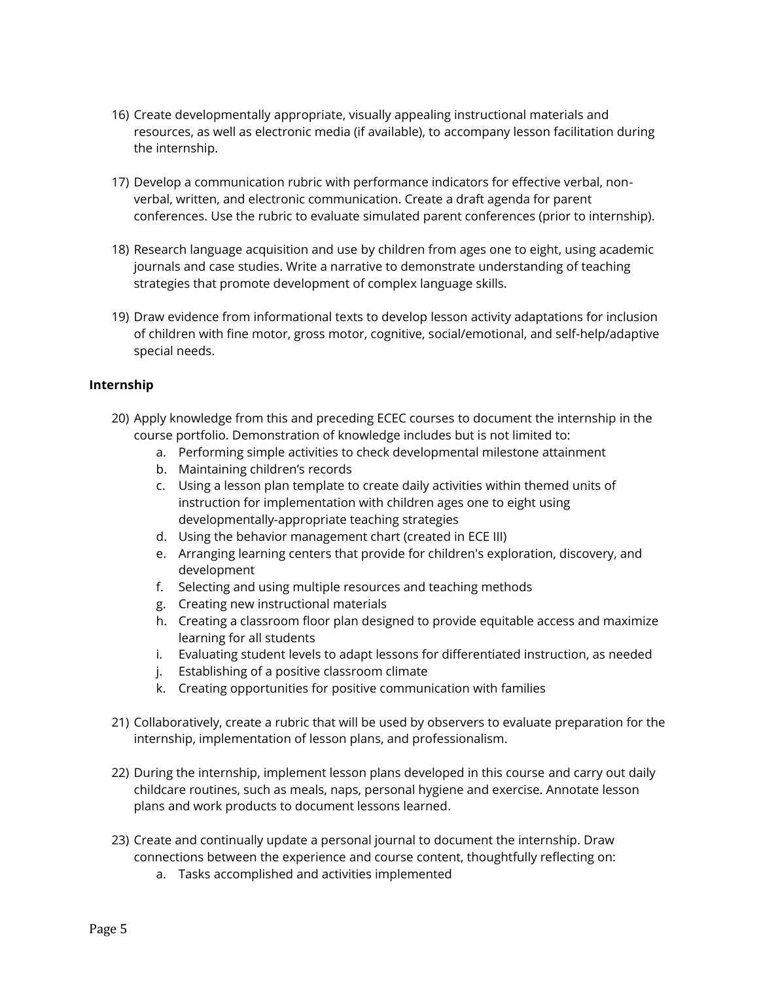- 16) Create developmentally appropriate, visually appealing instructional materials and resources, as well as electronic media (if available), to accompany lesson facilitation during the internship.
- 17) Develop a communication rubric with performance indicators for effective verbal, nonverbal, written, and electronic communication. Create a draft agenda for parent conferences. Use the rubric to evaluate simulated parent conferences (prior to internship).
- 18) Research language acquisition and use by children from ages one to eight, using academic journals and case studies. Write a narrative to demonstrate understanding of teaching strategies that promote development of complex language skills.
- 19) Draw evidence from informational texts to develop lesson activity adaptations for inclusion of children with fine motor, gross motor, cognitive, social/emotional, and self-help/adaptive special needs.

#### **Internship**

- 20) Apply knowledge from this and preceding ECEC courses to document the internship in the course portfolio. Demonstration of knowledge includes but is not limited to:
	- a. Performing simple activities to check developmental milestone attainment
	- b. Maintaining children's records
	- c. Using a lesson plan template to create daily activities within themed units of instruction for implementation with children ages one to eight using developmentally-appropriate teaching strategies
	- d. Using the behavior management chart (created in ECE III)
	- e. Arranging learning centers that provide for children's exploration, discovery, and development
	- f. Selecting and using multiple resources and teaching methods
	- g. Creating new instructional materials
	- h. Creating a classroom floor plan designed to provide equitable access and maximize learning for all students
	- i. Evaluating student levels to adapt lessons for differentiated instruction, as needed
	- j. Establishing of a positive classroom climate
	- k. Creating opportunities for positive communication with families
- 21) Collaboratively, create a rubric that will be used by observers to evaluate preparation for the internship, implementation of lesson plans, and professionalism.
- 22) During the internship, implement lesson plans developed in this course and carry out daily childcare routines, such as meals, naps, personal hygiene and exercise. Annotate lesson plans and work products to document lessons learned.
- 23) Create and continually update a personal journal to document the internship. Draw connections between the experience and course content, thoughtfully reflecting on:
	- a. Tasks accomplished and activities implemented